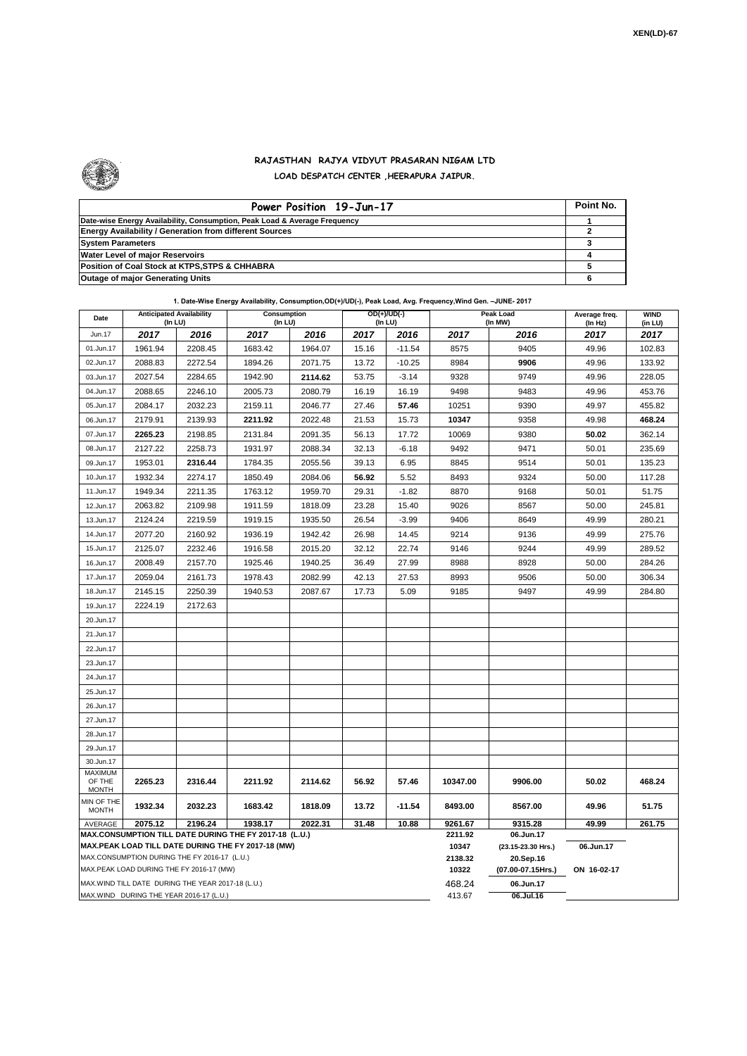

## **RAJASTHAN RAJYA VIDYUT PRASARAN NIGAM LTD LOAD DESPATCH CENTER ,HEERAPURA JAIPUR.**

| Power Position 19-Jun-17                                                  | Point No. |
|---------------------------------------------------------------------------|-----------|
| Date-wise Energy Availability, Consumption, Peak Load & Average Frequency |           |
| <b>Energy Availability / Generation from different Sources</b>            |           |
| <b>System Parameters</b>                                                  |           |
| <b>Water Level of major Reservoirs</b>                                    |           |
| Position of Coal Stock at KTPS, STPS & CHHABRA                            |           |
| Outage of major Generating Units                                          |           |

| Date                                                                                                         | <b>Anticipated Availability</b><br>$($ In LU $)$  |         | $\alpha$ . Date-vrise Energy Availability, Consumption,OD(+)/OD(-), Fear Load, Avg. Frequency, while Gen. -Jonne- 2017<br>Consumption<br>(In LU) |                  |                                 | $OD(+)/UD(-)$<br>(In LU) |                 | Peak Load<br>(In MW) | Average freq.<br>(In Hz) | <b>WIND</b><br>(in LU) |  |  |  |
|--------------------------------------------------------------------------------------------------------------|---------------------------------------------------|---------|--------------------------------------------------------------------------------------------------------------------------------------------------|------------------|---------------------------------|--------------------------|-----------------|----------------------|--------------------------|------------------------|--|--|--|
| Jun.17                                                                                                       | 2017                                              | 2016    | 2017                                                                                                                                             | 2016             | 2017                            | 2016                     | 2017            | 2016                 | 2017                     | 2017                   |  |  |  |
| 01.Jun.17                                                                                                    | 1961.94                                           | 2208.45 | 1683.42                                                                                                                                          | 1964.07          | 15.16                           | $-11.54$                 | 8575            | 9405                 | 49.96                    | 102.83                 |  |  |  |
| 02.Jun.17                                                                                                    | 2088.83                                           | 2272.54 | 1894.26                                                                                                                                          | 2071.75          | 13.72                           | $-10.25$                 | 8984            | 9906                 | 49.96                    | 133.92                 |  |  |  |
| 03.Jun.17                                                                                                    | 2027.54                                           | 2284.65 | 1942.90                                                                                                                                          | 2114.62          | 53.75                           | $-3.14$                  | 9328            | 9749                 | 49.96                    | 228.05                 |  |  |  |
| 04.Jun.17                                                                                                    | 2088.65                                           | 2246.10 | 2005.73                                                                                                                                          | 2080.79          | 16.19                           | 16.19                    | 9498            | 9483                 | 49.96                    | 453.76                 |  |  |  |
| 05.Jun.17                                                                                                    | 2084.17                                           | 2032.23 | 2159.11                                                                                                                                          | 2046.77          | 27.46                           | 57.46                    | 10251           | 9390                 | 49.97                    | 455.82                 |  |  |  |
| 06.Jun.17                                                                                                    | 2179.91                                           | 2139.93 | 2211.92                                                                                                                                          | 2022.48          | 21.53                           | 15.73                    | 10347           | 9358                 | 49.98                    | 468.24                 |  |  |  |
| 07.Jun.17                                                                                                    | 2265.23                                           | 2198.85 | 2131.84                                                                                                                                          | 2091.35          | 56.13                           | 17.72                    | 10069           | 9380                 | 50.02                    | 362.14                 |  |  |  |
| 08.Jun.17                                                                                                    | 2127.22                                           | 2258.73 | 1931.97                                                                                                                                          | 2088.34          | 32.13                           | $-6.18$                  | 9492            | 9471                 | 50.01                    | 235.69                 |  |  |  |
| 09.Jun.17                                                                                                    | 1953.01                                           | 2316.44 | 1784.35                                                                                                                                          | 2055.56          | 39.13                           | 6.95                     | 8845            | 9514                 | 50.01                    | 135.23                 |  |  |  |
| 10.Jun.17                                                                                                    | 1932.34                                           | 2274.17 | 1850.49                                                                                                                                          | 2084.06          | 56.92                           | 5.52                     | 8493            | 9324                 | 50.00                    | 117.28                 |  |  |  |
| 11.Jun.17                                                                                                    | 1949.34                                           | 2211.35 | 1763.12                                                                                                                                          | 1959.70          | 29.31                           | $-1.82$                  | 8870            | 9168                 | 50.01                    | 51.75                  |  |  |  |
| 12.Jun.17                                                                                                    | 2063.82                                           | 2109.98 | 1911.59                                                                                                                                          | 1818.09          | 23.28                           | 15.40                    | 9026            | 8567                 | 50.00                    | 245.81                 |  |  |  |
| 13.Jun.17                                                                                                    | 2124.24                                           | 2219.59 | 1919.15                                                                                                                                          | 1935.50          | 26.54                           | $-3.99$                  | 9406            | 8649                 | 49.99                    | 280.21                 |  |  |  |
| 14.Jun.17                                                                                                    | 2077.20                                           | 2160.92 | 1936.19                                                                                                                                          | 1942.42          | 26.98                           | 14.45                    | 9214            | 9136                 | 49.99                    | 275.76                 |  |  |  |
| 15.Jun.17                                                                                                    | 2125.07                                           | 2232.46 | 1916.58                                                                                                                                          | 2015.20          | 32.12                           | 22.74                    | 9146            | 9244                 | 49.99                    | 289.52                 |  |  |  |
| 16.Jun.17                                                                                                    | 2008.49                                           | 2157.70 | 1925.46                                                                                                                                          | 1940.25          | 36.49                           | 27.99                    | 8988            | 8928                 | 50.00                    | 284.26                 |  |  |  |
| 17.Jun.17                                                                                                    | 2059.04                                           | 2161.73 | 1978.43                                                                                                                                          | 2082.99          | 42.13                           | 27.53                    | 8993            | 9506                 | 50.00                    | 306.34                 |  |  |  |
| 18.Jun.17                                                                                                    | 2145.15                                           | 2250.39 | 1940.53                                                                                                                                          | 2087.67          | 17.73                           | 5.09                     | 9185            | 9497                 | 49.99                    | 284.80                 |  |  |  |
| 19.Jun.17                                                                                                    | 2224.19                                           | 2172.63 |                                                                                                                                                  |                  |                                 |                          |                 |                      |                          |                        |  |  |  |
| 20.Jun.17                                                                                                    |                                                   |         |                                                                                                                                                  |                  |                                 |                          |                 |                      |                          |                        |  |  |  |
| 21.Jun.17                                                                                                    |                                                   |         |                                                                                                                                                  |                  |                                 |                          |                 |                      |                          |                        |  |  |  |
| 22.Jun.17                                                                                                    |                                                   |         |                                                                                                                                                  |                  |                                 |                          |                 |                      |                          |                        |  |  |  |
| 23.Jun.17                                                                                                    |                                                   |         |                                                                                                                                                  |                  |                                 |                          |                 |                      |                          |                        |  |  |  |
| 24.Jun.17                                                                                                    |                                                   |         |                                                                                                                                                  |                  |                                 |                          |                 |                      |                          |                        |  |  |  |
| 25.Jun.17                                                                                                    |                                                   |         |                                                                                                                                                  |                  |                                 |                          |                 |                      |                          |                        |  |  |  |
| 26.Jun.17                                                                                                    |                                                   |         |                                                                                                                                                  |                  |                                 |                          |                 |                      |                          |                        |  |  |  |
| 27.Jun.17                                                                                                    |                                                   |         |                                                                                                                                                  |                  |                                 |                          |                 |                      |                          |                        |  |  |  |
| 28.Jun.17                                                                                                    |                                                   |         |                                                                                                                                                  |                  |                                 |                          |                 |                      |                          |                        |  |  |  |
| 29.Jun.17                                                                                                    |                                                   |         |                                                                                                                                                  |                  |                                 |                          |                 |                      |                          |                        |  |  |  |
| 30.Jun.17                                                                                                    |                                                   |         |                                                                                                                                                  |                  |                                 |                          |                 |                      |                          |                        |  |  |  |
| <b>MAXIMUM</b><br>OF THE                                                                                     | 2265.23                                           | 2316.44 | 2211.92                                                                                                                                          | 2114.62          | 56.92                           | 57.46                    | 10347.00        | 9906.00              | 50.02                    | 468.24                 |  |  |  |
| <b>MONTH</b>                                                                                                 |                                                   |         |                                                                                                                                                  |                  |                                 |                          |                 |                      |                          |                        |  |  |  |
| MIN OF THE<br><b>MONTH</b>                                                                                   | 1932.34                                           | 2032.23 | 1683.42                                                                                                                                          | 1818.09          | 13.72                           | $-11.54$                 | 8493.00         | 8567.00              | 49.96                    | 51.75                  |  |  |  |
| AVERAGE                                                                                                      | 2075.12                                           | 2196.24 | 1938.17                                                                                                                                          | 10.88            | 9261.67<br>2211.92              | 9315.28                  | 49.99<br>261.75 |                      |                          |                        |  |  |  |
| MAX.CONSUMPTION TILL DATE DURING THE FY 2017-18 (L.U.)<br>MAX.PEAK LOAD TILL DATE DURING THE FY 2017-18 (MW) |                                                   |         |                                                                                                                                                  |                  |                                 |                          |                 | 06.Jun.17            |                          |                        |  |  |  |
|                                                                                                              | MAX.CONSUMPTION DURING THE FY 2016-17 (L.U.)      |         |                                                                                                                                                  | 10347<br>2138.32 | (23.15-23.30 Hrs.)<br>20.Sep.16 | 06.Jun.17                |                 |                      |                          |                        |  |  |  |
|                                                                                                              | MAX.PEAK LOAD DURING THE FY 2016-17 (MW)          |         |                                                                                                                                                  |                  |                                 |                          | 10322           | (07.00-07.15Hrs.)    | ON 16-02-17              |                        |  |  |  |
|                                                                                                              | MAX.WIND TILL DATE DURING THE YEAR 2017-18 (L.U.) |         |                                                                                                                                                  |                  |                                 |                          | 468.24          | 06.Jun.17            |                          |                        |  |  |  |
|                                                                                                              | MAX.WIND DURING THE YEAR 2016-17 (L.U.)           |         |                                                                                                                                                  | 413.67           | 06.Jul.16                       |                          |                 |                      |                          |                        |  |  |  |

**1. Date-Wise Energy Availability, Consumption,OD(+)/UD(-), Peak Load, Avg. Frequency,Wind Gen. –JUNE- 2017**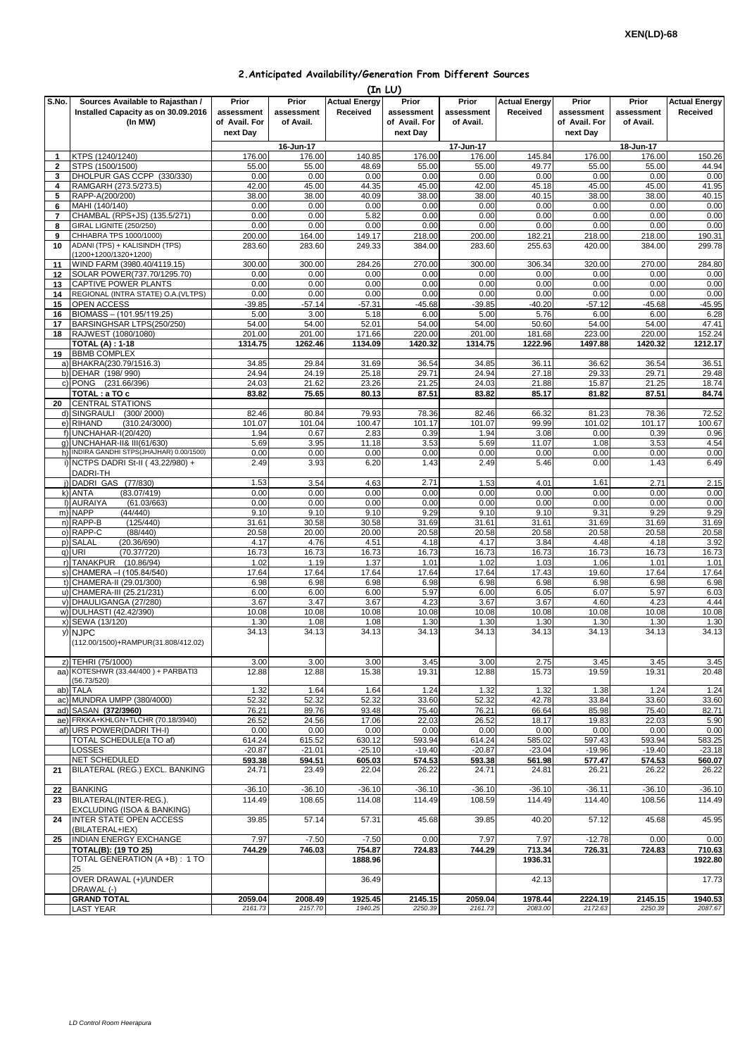## **2.Anticipated Availability/Generation From Different Sources**

|                     | (In LU)                                                                            |                                      |                                  |                                  |                                      |                                  |                                  |                                      |                                  |                                  |  |
|---------------------|------------------------------------------------------------------------------------|--------------------------------------|----------------------------------|----------------------------------|--------------------------------------|----------------------------------|----------------------------------|--------------------------------------|----------------------------------|----------------------------------|--|
| S.No.               | Sources Available to Rajasthan /<br>Installed Capacity as on 30.09.2016<br>(In MW) | Prior<br>assessment<br>of Avail. For | Prior<br>assessment<br>of Avail. | <b>Actual Energy</b><br>Received | Prior<br>assessment<br>of Avail. For | Prior<br>assessment<br>of Avail. | <b>Actual Energy</b><br>Received | Prior<br>assessment<br>of Avail. For | Prior<br>assessment<br>of Avail. | <b>Actual Energy</b><br>Received |  |
|                     |                                                                                    | next Day                             |                                  |                                  | next Day                             |                                  |                                  | next Day                             |                                  |                                  |  |
|                     | KTPS (1240/1240)                                                                   | 176.00                               | 16-Jun-17<br>176.00              | 140.85                           | 176.00                               | 17-Jun-17<br>176.00              | 145.84                           | 176.00                               | 18-Jun-17<br>176.00              | 150.26                           |  |
| 1<br>$\mathbf{2}$   | STPS (1500/1500)                                                                   | 55.00                                | 55.00                            | 48.69                            | 55.00                                | 55.00                            | 49.77                            | 55.00                                | 55.00                            | 44.94                            |  |
| 3                   | DHOLPUR GAS CCPP (330/330)                                                         | 0.00                                 | 0.00                             | 0.00                             | 0.00                                 | 0.00                             | 0.00                             | 0.00                                 | 0.00                             | 0.00                             |  |
| 4                   | RAMGARH (273.5/273.5)                                                              | 42.00                                | 45.00                            | 44.35                            | 45.00                                | 42.00                            | 45.18                            | 45.00                                | 45.00                            | 41.95                            |  |
| 5                   | RAPP-A(200/200)                                                                    | 38.00<br>0.00                        | 38.00<br>0.00                    | 40.09<br>0.00                    | 38.00<br>0.00                        | 38.00<br>0.00                    | 40.15<br>0.00                    | 38.00<br>0.00                        | 38.00<br>0.00                    | 40.15                            |  |
| 6<br>$\overline{7}$ | MAHI (140/140)<br>CHAMBAL (RPS+JS) (135.5/271)                                     | 0.00                                 | 0.00                             | 5.82                             | 0.00                                 | 0.00                             | 0.00                             | 0.00                                 | 0.00                             | 0.00<br>0.00                     |  |
| 8                   | GIRAL LIGNITE (250/250)                                                            | 0.00                                 | 0.00                             | 0.00                             | 0.00                                 | 0.00                             | 0.00                             | 0.00                                 | 0.00                             | 0.00                             |  |
| 9                   | CHHABRA TPS 1000/1000)                                                             | 200.00                               | 164.00                           | 149.17                           | 218.00                               | 200.00                           | 182.21                           | 218.00                               | 218.00                           | 190.31                           |  |
| 10                  | ADANI (TPS) + KALISINDH (TPS)<br>(1200+1200/1320+1200)                             | 283.60                               | 283.60                           | 249.33                           | 384.00                               | 283.60                           | 255.63                           | 420.00                               | 384.00                           | 299.78                           |  |
| 11<br>12            | WIND FARM (3980.40/4119.15)<br>SOLAR POWER(737.70/1295.70)                         | 300.00<br>0.00                       | 300.00<br>0.00                   | 284.26<br>0.00                   | 270.00<br>0.00                       | 300.00<br>0.00                   | 306.34<br>0.00                   | 320.00<br>0.00                       | 270.00<br>0.00                   | 284.80<br>0.00                   |  |
| 13                  | <b>CAPTIVE POWER PLANTS</b>                                                        | 0.00                                 | 0.00                             | 0.00                             | 0.00                                 | 0.00                             | 0.00                             | 0.00                                 | 0.00                             | 0.00                             |  |
| 14                  | REGIONAL (INTRA STATE) O.A. (VLTPS)                                                | 0.00                                 | 0.00                             | 0.00                             | 0.00                                 | 0.00                             | 0.00                             | 0.00                                 | 0.00                             | 0.00                             |  |
| 15                  | OPEN ACCESS                                                                        | $-39.85$                             | $-57.14$                         | $-57.31$                         | $-45.68$                             | $-39.85$                         | $-40.20$                         | $-57.12$                             | $-45.68$                         | $-45.95$                         |  |
| 16<br>17            | BIOMASS - (101.95/119.25)<br>BARSINGHSAR LTPS(250/250)                             | 5.00<br>54.00                        | 3.00<br>54.00                    | 5.18<br>52.01                    | 6.00<br>54.00                        | 5.00<br>54.00                    | 5.76<br>50.60                    | 6.00<br>54.00                        | 6.00<br>54.00                    | 6.28<br>47.41                    |  |
| 18                  | RAJWEST (1080/1080)                                                                | 201.00                               | 201.00                           | 171.66                           | 220.00                               | 201.00                           | 181.68                           | 223.00                               | 220.00                           | 152.24                           |  |
|                     | <b>TOTAL (A): 1-18</b>                                                             | 1314.75                              | 1262.46                          | 1134.09                          | 1420.32                              | 1314.75                          | 1222.96                          | 1497.88                              | 1420.32                          | 1212.17                          |  |
| 19                  | <b>BBMB COMPLEX</b>                                                                |                                      |                                  |                                  |                                      |                                  |                                  |                                      |                                  |                                  |  |
|                     | a) BHAKRA(230.79/1516.3)<br>b) DEHAR (198/990)                                     | 34.85<br>24.94                       | 29.84<br>24.19                   | 31.69<br>25.18                   | 36.54<br>29.71                       | 34.85<br>24.94                   | 36.11<br>27.18                   | 36.62<br>29.33                       | 36.54<br>29.71                   | 36.51<br>29.48                   |  |
|                     | c) PONG (231.66/396)                                                               | 24.03                                | 21.62                            | 23.26                            | 21.25                                | 24.03                            | 21.88                            | 15.87                                | 21.25                            | 18.74                            |  |
|                     | TOTAL: a TO c                                                                      | 83.82                                | 75.65                            | 80.13                            | 87.51                                | 83.82                            | 85.17                            | 81.82                                | 87.51                            | 84.74                            |  |
| 20                  | <b>CENTRAL STATIONS</b>                                                            |                                      |                                  |                                  |                                      |                                  |                                  |                                      |                                  |                                  |  |
|                     | d) SINGRAULI<br>(300/2000)<br>e) RIHAND<br>(310.24/3000)                           | 82.46<br>101.07                      | 80.84<br>101.04                  | 79.93<br>100.47                  | 78.36<br>101.17                      | 82.46<br>101.07                  | 66.32<br>99.99                   | 81.23<br>101.02                      | 78.36<br>101.17                  | 72.52<br>100.67                  |  |
|                     | f) UNCHAHAR-I(20/420)                                                              | 1.94                                 | 0.67                             | 2.83                             | 0.39                                 | 1.94                             | 3.08                             | 0.00                                 | 0.39                             | 0.96                             |  |
|                     | g) UNCHAHAR-II& III(61/630)                                                        | 5.69                                 | 3.95                             | 11.18                            | 3.53                                 | 5.69                             | 11.07                            | 1.08                                 | 3.53                             | 4.54                             |  |
|                     | h) INDIRA GANDHI STPS(JHAJHAR) 0.00/1500)                                          | 0.00                                 | 0.00                             | 0.00                             | 0.00                                 | 0.00                             | 0.00                             | 0.00                                 | 0.00                             | 0.00                             |  |
|                     | i) NCTPS DADRI St-II (43.22/980) +                                                 | 2.49                                 | 3.93                             | 6.20                             | 1.43                                 | 2.49                             | 5.46                             | 0.00                                 | 1.43                             | 6.49                             |  |
|                     | DADRI-TH<br>j) DADRI GAS (77/830)                                                  | 1.53                                 | 3.54                             | 4.63                             | 2.71                                 | 1.53                             | 4.01                             | 1.61                                 | 2.71                             | 2.15                             |  |
|                     | (83.07/419)<br>k) ANTA                                                             | 0.00                                 | 0.00                             | 0.00                             | 0.00                                 | 0.00                             | 0.00                             | 0.00                                 | 0.00                             | 0.00                             |  |
|                     | I) AURAIYA<br>(61.03/663)                                                          | 0.00                                 | 0.00                             | 0.00                             | 0.00                                 | 0.00                             | 0.00                             | 0.00                                 | 0.00                             | 0.00                             |  |
|                     | m) NAPP<br>(44/440)                                                                | 9.10                                 | 9.10                             | 9.10                             | 9.29                                 | 9.10                             | 9.10                             | 9.31                                 | 9.29                             | 9.29                             |  |
|                     | n) RAPP-B<br>(125/440)<br>o) RAPP-C<br>(88/440)                                    | 31.61<br>20.58                       | 30.58<br>20.00                   | 30.58<br>20.00                   | 31.69<br>20.58                       | 31.61<br>20.58                   | 31.61<br>20.58                   | 31.69<br>20.58                       | 31.69<br>20.58                   | 31.69<br>20.58                   |  |
|                     | p) SALAL<br>(20.36/690)                                                            | 4.17                                 | 4.76                             | 4.51                             | 4.18                                 | 4.17                             | 3.84                             | 4.48                                 | 4.18                             | 3.92                             |  |
|                     | q) URI<br>(70.37/720)                                                              | 16.73                                | 16.73                            | 16.73                            | 16.73                                | 16.73                            | 16.73                            | 16.73                                | 16.73                            | 16.73                            |  |
|                     | r) TANAKPUR<br>(10.86/94)                                                          | 1.02                                 | 1.19                             | 1.37                             | 1.01                                 | 1.02                             | 1.03                             | 1.06                                 | 1.01                             | 1.01                             |  |
|                     | s) CHAMERA - (105.84/540)<br>t) CHAMERA-II (29.01/300)                             | 17.64<br>6.98                        | 17.64<br>6.98                    | 17.64<br>6.98                    | 17.64<br>6.98                        | 17.64<br>6.98                    | 17.43<br>6.98                    | 19.60<br>6.98                        | 17.64<br>6.98                    | 17.64<br>6.98                    |  |
|                     | u) CHAMERA-III (25.21/231)                                                         | 6.00                                 | 6.00                             | 6.00                             | 5.97                                 | 6.00                             | 6.05                             | 6.07                                 | 5.97                             | 6.03                             |  |
|                     | v) DHAULIGANGA (27/280)                                                            | 3.67                                 | 3.47                             | 3.67                             | 4.23                                 | 3.67                             | 3.67                             | 4.60                                 | 4.23                             | 4.44                             |  |
|                     | w) DULHASTI (42.42/390)                                                            | 10.08                                | 10.08                            | 10.08                            | 10.08                                | 10.08                            | 10.08                            | 10.08                                | 10.08                            | 10.08                            |  |
|                     | x) SEWA (13/120)<br>y) NJPC                                                        | 1.30<br>34.13                        | 1.08<br>34.13                    | 1.08<br>34.13                    | 1.30<br>34.13                        | 1.30<br>34.13                    | 1.30<br>34.13                    | 1.30<br>34.13                        | 1.30<br>34.13                    | 1.30<br>34.13                    |  |
|                     | (112.00/1500)+RAMPUR(31.808/412.02)                                                |                                      |                                  |                                  |                                      |                                  |                                  |                                      |                                  |                                  |  |
|                     | z) TEHRI (75/1000)                                                                 | 3.00                                 | 3.00                             | 3.00                             | 3.45                                 | 3.00                             | 2.75                             | 3.45                                 | 3.45                             | 3.45                             |  |
|                     | aa) KOTESHWR (33.44/400) + PARBATI3                                                | 12.88                                | 12.88                            | 15.38                            | 19.31                                | 12.88                            | 15.73                            | 19.59                                | 19.31                            | 20.48                            |  |
| ab)                 | (56.73/520)<br><b>TALA</b>                                                         | 1.32                                 | 1.64                             | 1.64                             | 1.24                                 | 1.32                             | 1.32                             | 1.38                                 | 1.24                             | 1.24                             |  |
|                     | ac) MUNDRA UMPP (380/4000)                                                         | 52.32                                | 52.32                            | 52.32                            | 33.60                                | 52.32                            | 42.78                            | 33.84                                | 33.60                            | 33.60                            |  |
|                     | ad) SASAN (372/3960)                                                               | 76.21                                | 89.76                            | 93.48                            | 75.40                                | 76.21                            | 66.64                            | 85.98                                | 75.40                            | 82.71                            |  |
|                     | ae) FRKKA+KHLGN+TLCHR (70.18/3940)                                                 | 26.52                                | 24.56                            | 17.06                            | 22.03                                | 26.52                            | 18.17                            | 19.83                                | 22.03                            | 5.90                             |  |
|                     | af) URS POWER(DADRI TH-I)<br>TOTAL SCHEDULE(a TO af)                               | 0.00<br>614.24                       | 0.00<br>615.52                   | 0.00<br>630.12                   | 0.00<br>593.94                       | 0.00<br>614.24                   | 0.00<br>585.02                   | 0.00<br>597.43                       | 0.00<br>593.94                   | 0.00<br>583.25                   |  |
|                     | LOSSES                                                                             | $-20.87$                             | $-21.01$                         | $-25.10$                         | $-19.40$                             | $-20.87$                         | $-23.04$                         | $-19.96$                             | $-19.40$                         | $-23.18$                         |  |
|                     | NET SCHEDULED                                                                      | 593.38                               | 594.51                           | 605.03                           | 574.53                               | 593.38                           | 561.98                           | 577.47                               | 574.53                           | 560.07                           |  |
| 21                  | BILATERAL (REG.) EXCL. BANKING                                                     | 24.71                                | 23.49                            | 22.04                            | 26.22                                | 24.71                            | 24.81                            | 26.21                                | 26.22                            | 26.22                            |  |
| 22                  | <b>BANKING</b>                                                                     | $-36.10$                             | $-36.10$                         | $-36.10$                         | $-36.10$                             | $-36.10$                         | $-36.10$                         | $-36.11$                             | $-36.10$                         | $-36.10$                         |  |
| 23                  | BILATERAL(INTER-REG.).<br>EXCLUDING (ISOA & BANKING)                               | 114.49                               | 108.65                           | 114.08                           | 114.49                               | 108.59                           | 114.49                           | 114.40                               | 108.56                           | 114.49                           |  |
| 24                  | <b>INTER STATE OPEN ACCESS</b><br>(BILATERAL+IEX)                                  | 39.85                                | 57.14                            | 57.31                            | 45.68                                | 39.85                            | 40.20                            | 57.12                                | 45.68                            | 45.95                            |  |
| 25                  | INDIAN ENERGY EXCHANGE<br><b>TOTAL(B): (19 TO 25)</b>                              | 7.97<br>744.29                       | $-7.50$<br>746.03                | $-7.50$<br>754.87                | 0.00<br>724.83                       | 7.97<br>744.29                   | 7.97<br>713.34                   | $-12.78$<br>726.31                   | 0.00<br>724.83                   | 0.00<br>710.63                   |  |
|                     | TOTAL GENERATION (A +B) : 1 TO<br>25                                               |                                      |                                  | 1888.96                          |                                      |                                  | 1936.31                          |                                      |                                  | 1922.80                          |  |
|                     | OVER DRAWAL (+)/UNDER<br>DRAWAL (-)                                                |                                      |                                  | 36.49                            |                                      |                                  | 42.13                            |                                      |                                  | 17.73                            |  |
|                     | <b>GRAND TOTAL</b>                                                                 | 2059.04                              | 2008.49                          | 1925.45                          | 2145.15                              | 2059.04                          | 1978.44                          | 2224.19                              | 2145.15                          | 1940.53                          |  |
|                     | <b>LAST YEAR</b>                                                                   | 2161.73                              | 2157.70                          | 1940.25                          | 2250.39                              | 2161.73                          | 2083.00                          | 2172.63                              | 2250.39                          | 2087.67                          |  |